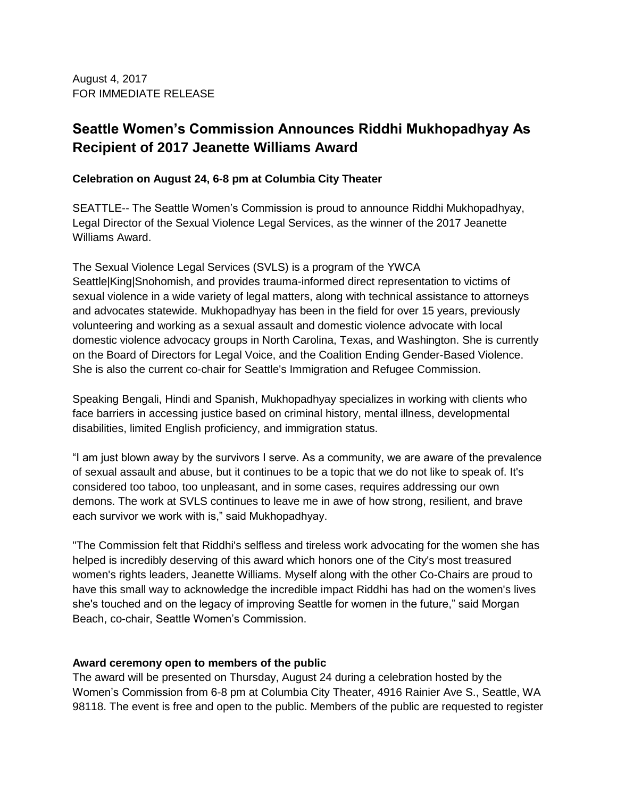August 4, 2017 FOR IMMEDIATE RELEASE

## **Seattle Women's Commission Announces Riddhi Mukhopadhyay As Recipient of 2017 Jeanette Williams Award**

## **Celebration on August 24, 6-8 pm at Columbia City Theater**

SEATTLE-- The Seattle Women's Commission is proud to announce Riddhi Mukhopadhyay, Legal Director of the Sexual Violence Legal Services, as the winner of the 2017 Jeanette Williams Award.

The Sexual Violence Legal Services (SVLS) is a program of the YWCA Seattle|King|Snohomish, and provides trauma-informed direct representation to victims of sexual violence in a wide variety of legal matters, along with technical assistance to attorneys and advocates statewide. Mukhopadhyay has been in the field for over 15 years, previously volunteering and working as a sexual assault and domestic violence advocate with local domestic violence advocacy groups in North Carolina, Texas, and Washington. She is currently on the Board of Directors for Legal Voice, and the Coalition Ending Gender-Based Violence. She is also the current co-chair for Seattle's Immigration and Refugee Commission.

Speaking Bengali, Hindi and Spanish, Mukhopadhyay specializes in working with clients who face barriers in accessing justice based on criminal history, mental illness, developmental disabilities, limited English proficiency, and immigration status.

"I am just blown away by the survivors I serve. As a community, we are aware of the prevalence of sexual assault and abuse, but it continues to be a topic that we do not like to speak of. It's considered too taboo, too unpleasant, and in some cases, requires addressing our own demons. The work at SVLS continues to leave me in awe of how strong, resilient, and brave each survivor we work with is," said Mukhopadhyay.

"The Commission felt that Riddhi's selfless and tireless work advocating for the women she has helped is incredibly deserving of this award which honors one of the City's most treasured women's rights leaders, Jeanette Williams. Myself along with the other Co-Chairs are proud to have this small way to acknowledge the incredible impact Riddhi has had on the women's lives she's touched and on the legacy of improving Seattle for women in the future," said Morgan Beach, co-chair, Seattle Women's Commission.

## **Award ceremony open to members of the public**

The award will be presented on Thursday, August 24 during a celebration hosted by the Women's Commission from 6-8 pm at Columbia City Theater, 4916 Rainier Ave S., Seattle, WA 98118. The event is free and open to the public. Members of the public are requested to register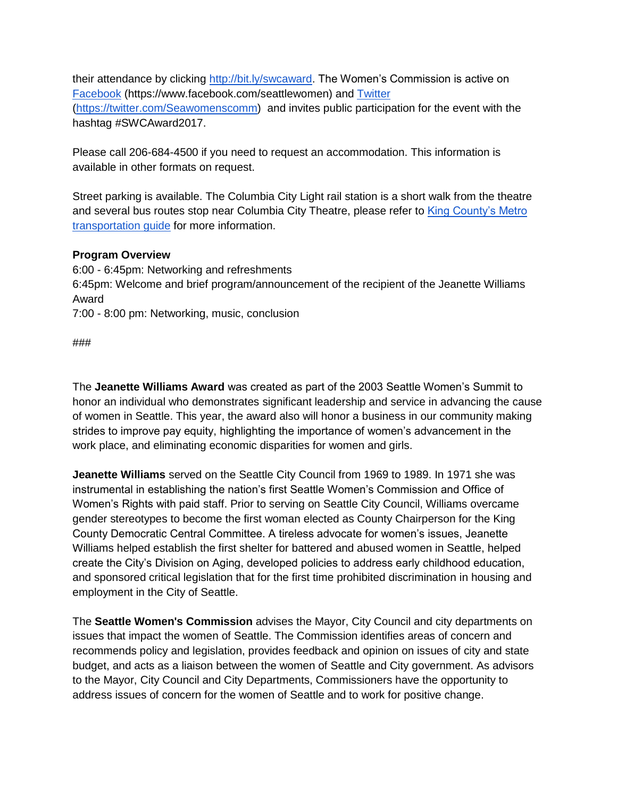their attendance by clicking [http://bit.ly/swcaward.](http://bit.ly/swcaward) The Women's Commission is active on [Facebook](https://www.facebook.com/seattlewomen) (https://www.facebook.com/seattlewomen) and [Twitter](https://twitter.com/Seawomenscomm) [\(https://twitter.com/Seawomenscomm\)](https://twitter.com/Seawomenscomm) and invites public participation for the event with the hashtag #SWCAward2017.

Please call 206-684-4500 if you need to request an accommodation. This information is available in other formats on request.

Street parking is available. The Columbia City Light rail station is a short walk from the theatre and several bus routes stop near Columbia City Theatre, please refer to King County's Metro [transportation guide](http://kingcounty.gov/depts/transportation/metro.aspx) for more information.

## **Program Overview**

6:00 - 6:45pm: Networking and refreshments 6:45pm: Welcome and brief program/announcement of the recipient of the Jeanette Williams Award 7:00 - 8:00 pm: Networking, music, conclusion

###

The **Jeanette Williams Award** was created as part of the 2003 Seattle Women's Summit to honor an individual who demonstrates significant leadership and service in advancing the cause of women in Seattle. This year, the award also will honor a business in our community making strides to improve pay equity, highlighting the importance of women's advancement in the work place, and eliminating economic disparities for women and girls.

**Jeanette Williams** served on the Seattle City Council from 1969 to 1989. In 1971 she was instrumental in establishing the nation's first Seattle Women's Commission and Office of Women's Rights with paid staff. Prior to serving on Seattle City Council, Williams overcame gender stereotypes to become the first woman elected as County Chairperson for the King County Democratic Central Committee. A tireless advocate for women's issues, Jeanette Williams helped establish the first shelter for battered and abused women in Seattle, helped create the City's Division on Aging, developed policies to address early childhood education, and sponsored critical legislation that for the first time prohibited discrimination in housing and employment in the City of Seattle.

The **Seattle Women's Commission** advises the Mayor, City Council and city departments on issues that impact the women of Seattle. The Commission identifies areas of concern and recommends policy and legislation, provides feedback and opinion on issues of city and state budget, and acts as a liaison between the women of Seattle and City government. As advisors to the Mayor, City Council and City Departments, Commissioners have the opportunity to address issues of concern for the women of Seattle and to work for positive change.